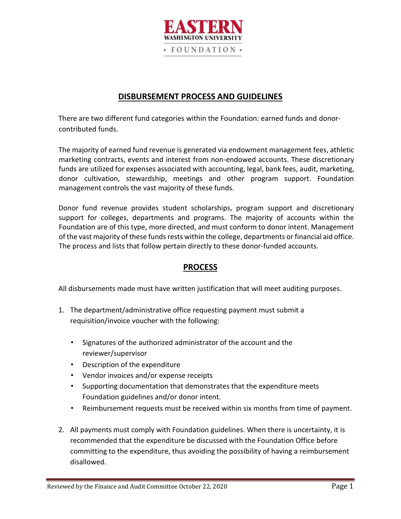

#### **DISBURSEMENT PROCESS AND GUIDELINES**

There are two different fund categories within the Foundation: earned funds and donorcontributed funds.

The majority of earned fund revenue is generated via endowment management fees, athletic marketing contracts, events and interest from non-endowed accounts. These discretionary funds are utilized for expenses associated with accounting, legal, bank fees, audit, marketing, donor cultivation, stewardship, meetings and other program support. Foundation management controls the vast majority of these funds.

Donor fund revenue provides student scholarships, program support and discretionary support for colleges, departments and programs. The majority of accounts within the Foundation are of this type, more directed, and must conform to donor intent. Management of the vast majority of these funds rests within the college, departments or financial aid office. The process and lists that follow pertain directly to these donor-funded accounts.

#### **PROCESS**

All disbursements made must have written justification that will meet auditing purposes.

- 1. The department/administrative office requesting payment must submit a requisition/invoice voucher with the following:
	- Signatures of the authorized administrator of the account and the reviewer/supervisor
	- Description of the expenditure
	- Vendor invoices and/or expense receipts
	- Supporting documentation that demonstrates that the expenditure meets Foundation guidelines and/or donor intent.
	- Reimbursement requests must be received within six months from time of payment.
- 2. All payments must comply with Foundation guidelines. When there is uncertainty, it is recommended that the expenditure be discussed with the Foundation Office before committing to the expenditure, thus avoiding the possibility of having a reimbursement disallowed.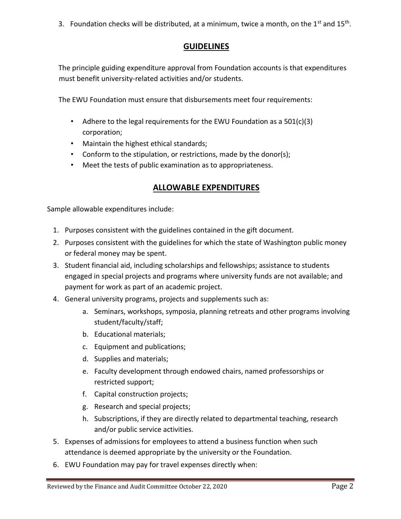3. Foundation checks will be distributed, at a minimum, twice a month, on the  $1<sup>st</sup>$  and  $15<sup>th</sup>$ .

### **GUIDELINES**

The principle guiding expenditure approval from Foundation accounts is that expenditures must benefit university-related activities and/or students.

The EWU Foundation must ensure that disbursements meet four requirements:

- Adhere to the legal requirements for the EWU Foundation as a 501(c)(3) corporation;
- Maintain the highest ethical standards;
- Conform to the stipulation, or restrictions, made by the donor(s);
- Meet the tests of public examination as to appropriateness.

### **ALLOWABLE EXPENDITURES**

Sample allowable expenditures include:

- 1. Purposes consistent with the guidelines contained in the gift document.
- 2. Purposes consistent with the guidelines for which the state of Washington public money or federal money may be spent.
- 3. Student financial aid, including scholarships and fellowships; assistance to students engaged in special projects and programs where university funds are not available; and payment for work as part of an academic project.
- 4. General university programs, projects and supplements such as:
	- a. Seminars, workshops, symposia, planning retreats and other programs involving student/faculty/staff;
	- b. Educational materials;
	- c. Equipment and publications;
	- d. Supplies and materials;
	- e. Faculty development through endowed chairs, named professorships or restricted support;
	- f. Capital construction projects;
	- g. Research and special projects;
	- h. Subscriptions, if they are directly related to departmental teaching, research and/or public service activities.
- 5. Expenses of admissions for employees to attend a business function when such attendance is deemed appropriate by the university or the Foundation.
- 6. EWU Foundation may pay for travel expenses directly when: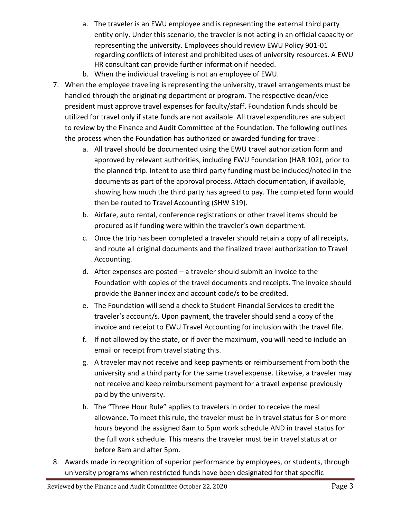- a. The traveler is an EWU employee and is representing the external third party entity only. Under this scenario, the traveler is not acting in an official capacity or representing the university. Employees should review EWU Policy 901-01 regarding conflicts of interest and prohibited uses of university resources. A EWU HR consultant can provide further information if needed.
- b. When the individual traveling is not an employee of EWU.
- 7. When the employee traveling is representing the university, travel arrangements must be handled through the originating department or program. The respective dean/vice president must approve travel expenses for faculty/staff. Foundation funds should be utilized for travel only if state funds are not available. All travel expenditures are subject to review by the Finance and Audit Committee of the Foundation. The following outlines the process when the Foundation has authorized or awarded funding for travel:
	- a. All travel should be documented using the EWU travel authorization form and approved by relevant authorities, including EWU Foundation (HAR 102), prior to the planned trip. Intent to use third party funding must be included/noted in the documents as part of the approval process. Attach documentation, if available, showing how much the third party has agreed to pay. The completed form would then be routed to Travel Accounting (SHW 319).
	- b. Airfare, auto rental, conference registrations or other travel items should be procured as if funding were within the traveler's own department.
	- c. Once the trip has been completed a traveler should retain a copy of all receipts, and route all original documents and the finalized travel authorization to Travel Accounting.
	- d. After expenses are posted a traveler should submit an invoice to the Foundation with copies of the travel documents and receipts. The invoice should provide the Banner index and account code/s to be credited.
	- e. The Foundation will send a check to Student Financial Services to credit the traveler's account/s. Upon payment, the traveler should send a copy of the invoice and receipt to EWU Travel Accounting for inclusion with the travel file.
	- f. If not allowed by the state, or if over the maximum, you will need to include an email or receipt from travel stating this.
	- g. A traveler may not receive and keep payments or reimbursement from both the university and a third party for the same travel expense. Likewise, a traveler may not receive and keep reimbursement payment for a travel expense previously paid by the university.
	- h. The "Three Hour Rule" applies to travelers in order to receive the meal allowance. To meet this rule, the traveler must be in travel status for 3 or more hours beyond the assigned 8am to 5pm work schedule AND in travel status for the full work schedule. This means the traveler must be in travel status at or before 8am and after 5pm.
- 8. Awards made in recognition of superior performance by employees, or students, through university programs when restricted funds have been designated for that specific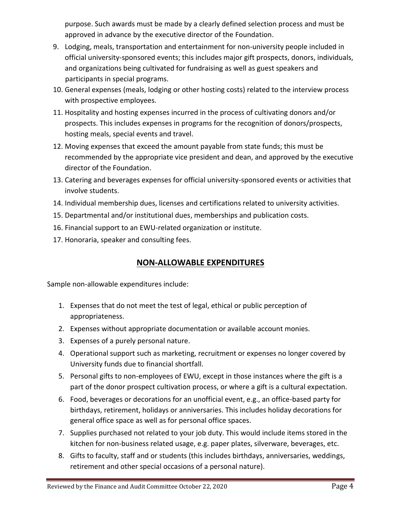purpose. Such awards must be made by a clearly defined selection process and must be approved in advance by the executive director of the Foundation.

- 9. Lodging, meals, transportation and entertainment for non-university people included in official university-sponsored events; this includes major gift prospects, donors, individuals, and organizations being cultivated for fundraising as well as guest speakers and participants in special programs.
- 10. General expenses (meals, lodging or other hosting costs) related to the interview process with prospective employees.
- 11. Hospitality and hosting expenses incurred in the process of cultivating donors and/or prospects. This includes expenses in programs for the recognition of donors/prospects, hosting meals, special events and travel.
- 12. Moving expenses that exceed the amount payable from state funds; this must be recommended by the appropriate vice president and dean, and approved by the executive director of the Foundation.
- 13. Catering and beverages expenses for official university-sponsored events or activities that involve students.
- 14. Individual membership dues, licenses and certifications related to university activities.
- 15. Departmental and/or institutional dues, memberships and publication costs.
- 16. Financial support to an EWU-related organization or institute.
- 17. Honoraria, speaker and consulting fees.

# **NON-ALLOWABLE EXPENDITURES**

Sample non-allowable expenditures include:

- 1. Expenses that do not meet the test of legal, ethical or public perception of appropriateness.
- 2. Expenses without appropriate documentation or available account monies.
- 3. Expenses of a purely personal nature.
- 4. Operational support such as marketing, recruitment or expenses no longer covered by University funds due to financial shortfall.
- 5. Personal gifts to non-employees of EWU, except in those instances where the gift is a part of the donor prospect cultivation process, or where a gift is a cultural expectation.
- 6. Food, beverages or decorations for an unofficial event, e.g., an office-based party for birthdays, retirement, holidays or anniversaries. This includes holiday decorations for general office space as well as for personal office spaces.
- 7. Supplies purchased not related to your job duty. This would include items stored in the kitchen for non-business related usage, e.g. paper plates, silverware, beverages, etc.
- 8. Gifts to faculty, staff and or students (this includes birthdays, anniversaries, weddings, retirement and other special occasions of a personal nature).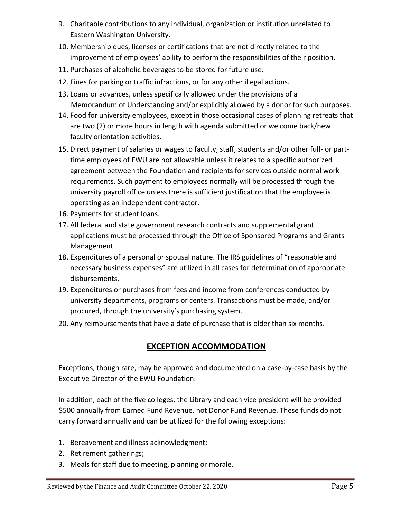- 9. Charitable contributions to any individual, organization or institution unrelated to Eastern Washington University.
- 10. Membership dues, licenses or certifications that are not directly related to the improvement of employees' ability to perform the responsibilities of their position.
- 11. Purchases of alcoholic beverages to be stored for future use.
- 12. Fines for parking or traffic infractions, or for any other illegal actions.
- 13. Loans or advances, unless specifically allowed under the provisions of a Memorandum of Understanding and/or explicitly allowed by a donor for such purposes.
- 14. Food for university employees, except in those occasional cases of planning retreats that are two (2) or more hours in length with agenda submitted or welcome back/new faculty orientation activities.
- 15. Direct payment of salaries or wages to faculty, staff, students and/or other full- or parttime employees of EWU are not allowable unless it relates to a specific authorized agreement between the Foundation and recipients for services outside normal work requirements. Such payment to employees normally will be processed through the university payroll office unless there is sufficient justification that the employee is operating as an independent contractor.
- 16. Payments for student loans.
- 17. All federal and state government research contracts and supplemental grant applications must be processed through the Office of Sponsored Programs and Grants Management.
- 18. Expenditures of a personal or spousal nature. The IRS guidelines of "reasonable and necessary business expenses" are utilized in all cases for determination of appropriate disbursements.
- 19. Expenditures or purchases from fees and income from conferences conducted by university departments, programs or centers. Transactions must be made, and/or procured, through the university's purchasing system.
- 20. Any reimbursements that have a date of purchase that is older than six months.

## **EXCEPTION ACCOMMODATION**

Exceptions, though rare, may be approved and documented on a case-by-case basis by the Executive Director of the EWU Foundation.

In addition, each of the five colleges, the Library and each vice president will be provided \$500 annually from Earned Fund Revenue, not Donor Fund Revenue. These funds do not carry forward annually and can be utilized for the following exceptions:

- 1. Bereavement and illness acknowledgment;
- 2. Retirement gatherings;
- 3. Meals for staff due to meeting, planning or morale.